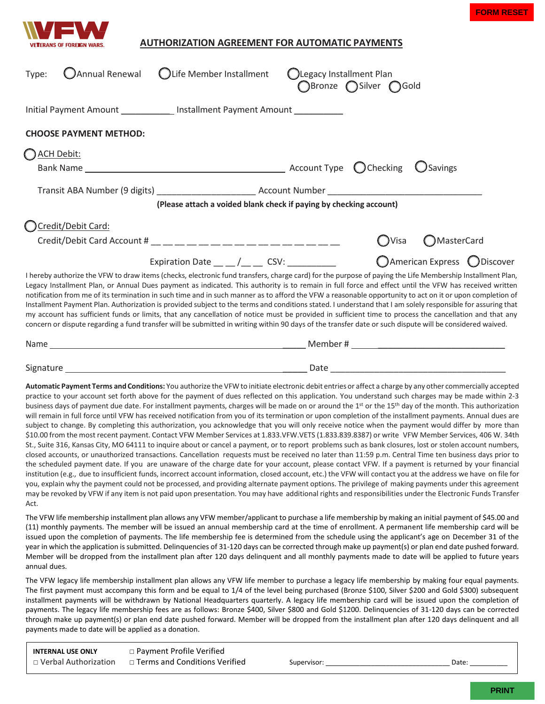



## **AUTHORIZATION AGREEMENT FOR AUTOMATIC PAYMENTS**

|                      | RANS OF FOREIGN WARS.                                                                                                                                                                                                                                                                                                                                                                                                                                                                                                                                                                                                                                                                                                                                                                                                                                                                                                                                                                                                                                                                                                                                                                                                                                                                                                                                                                                                                                                                                                                                                                                                                                                                                                                                                                                                                                                                                                                  | <b>AUTHORIZATION AGREEMENT FOR AUTOMATIC PAYMENTS</b>               |  |                                                          |                  |                               |
|----------------------|----------------------------------------------------------------------------------------------------------------------------------------------------------------------------------------------------------------------------------------------------------------------------------------------------------------------------------------------------------------------------------------------------------------------------------------------------------------------------------------------------------------------------------------------------------------------------------------------------------------------------------------------------------------------------------------------------------------------------------------------------------------------------------------------------------------------------------------------------------------------------------------------------------------------------------------------------------------------------------------------------------------------------------------------------------------------------------------------------------------------------------------------------------------------------------------------------------------------------------------------------------------------------------------------------------------------------------------------------------------------------------------------------------------------------------------------------------------------------------------------------------------------------------------------------------------------------------------------------------------------------------------------------------------------------------------------------------------------------------------------------------------------------------------------------------------------------------------------------------------------------------------------------------------------------------------|---------------------------------------------------------------------|--|----------------------------------------------------------|------------------|-------------------------------|
| Type:                | Annual Renewal                                                                                                                                                                                                                                                                                                                                                                                                                                                                                                                                                                                                                                                                                                                                                                                                                                                                                                                                                                                                                                                                                                                                                                                                                                                                                                                                                                                                                                                                                                                                                                                                                                                                                                                                                                                                                                                                                                                         | <b>OLife Member Installment</b>                                     |  | <b>OLegacy Installment Plan</b><br>○Bronze ○Silver ○Gold |                  |                               |
|                      | Initial Payment Amount _____________ Installment Payment Amount ___________                                                                                                                                                                                                                                                                                                                                                                                                                                                                                                                                                                                                                                                                                                                                                                                                                                                                                                                                                                                                                                                                                                                                                                                                                                                                                                                                                                                                                                                                                                                                                                                                                                                                                                                                                                                                                                                            |                                                                     |  |                                                          |                  |                               |
|                      | <b>CHOOSE PAYMENT METHOD:</b>                                                                                                                                                                                                                                                                                                                                                                                                                                                                                                                                                                                                                                                                                                                                                                                                                                                                                                                                                                                                                                                                                                                                                                                                                                                                                                                                                                                                                                                                                                                                                                                                                                                                                                                                                                                                                                                                                                          |                                                                     |  |                                                          |                  |                               |
| ACH Debit:           |                                                                                                                                                                                                                                                                                                                                                                                                                                                                                                                                                                                                                                                                                                                                                                                                                                                                                                                                                                                                                                                                                                                                                                                                                                                                                                                                                                                                                                                                                                                                                                                                                                                                                                                                                                                                                                                                                                                                        |                                                                     |  |                                                          |                  |                               |
|                      |                                                                                                                                                                                                                                                                                                                                                                                                                                                                                                                                                                                                                                                                                                                                                                                                                                                                                                                                                                                                                                                                                                                                                                                                                                                                                                                                                                                                                                                                                                                                                                                                                                                                                                                                                                                                                                                                                                                                        |                                                                     |  |                                                          | <b>U</b> Savings |                               |
|                      |                                                                                                                                                                                                                                                                                                                                                                                                                                                                                                                                                                                                                                                                                                                                                                                                                                                                                                                                                                                                                                                                                                                                                                                                                                                                                                                                                                                                                                                                                                                                                                                                                                                                                                                                                                                                                                                                                                                                        |                                                                     |  |                                                          |                  |                               |
|                      |                                                                                                                                                                                                                                                                                                                                                                                                                                                                                                                                                                                                                                                                                                                                                                                                                                                                                                                                                                                                                                                                                                                                                                                                                                                                                                                                                                                                                                                                                                                                                                                                                                                                                                                                                                                                                                                                                                                                        | (Please attach a voided blank check if paying by checking account)  |  |                                                          |                  |                               |
|                      | Ccredit/Debit Card:                                                                                                                                                                                                                                                                                                                                                                                                                                                                                                                                                                                                                                                                                                                                                                                                                                                                                                                                                                                                                                                                                                                                                                                                                                                                                                                                                                                                                                                                                                                                                                                                                                                                                                                                                                                                                                                                                                                    |                                                                     |  |                                                          |                  |                               |
|                      |                                                                                                                                                                                                                                                                                                                                                                                                                                                                                                                                                                                                                                                                                                                                                                                                                                                                                                                                                                                                                                                                                                                                                                                                                                                                                                                                                                                                                                                                                                                                                                                                                                                                                                                                                                                                                                                                                                                                        |                                                                     |  | ( ) Visa                                                 | ◯MasterCard      |                               |
|                      |                                                                                                                                                                                                                                                                                                                                                                                                                                                                                                                                                                                                                                                                                                                                                                                                                                                                                                                                                                                                                                                                                                                                                                                                                                                                                                                                                                                                                                                                                                                                                                                                                                                                                                                                                                                                                                                                                                                                        | Expiration Date $\frac{1}{2}$ $\frac{1}{2}$ CSV: $\frac{1}{2}$ CSV: |  |                                                          |                  | ○ American Express ○ Discover |
|                      | Installment Payment Plan. Authorization is provided subject to the terms and conditions stated. I understand that I am solely responsible for assuring that<br>my account has sufficient funds or limits, that any cancellation of notice must be provided in sufficient time to process the cancellation and that any<br>concern or dispute regarding a fund transfer will be submitted in writing within 90 days of the transfer date or such dispute will be considered waived.                                                                                                                                                                                                                                                                                                                                                                                                                                                                                                                                                                                                                                                                                                                                                                                                                                                                                                                                                                                                                                                                                                                                                                                                                                                                                                                                                                                                                                                     |                                                                     |  |                                                          |                  |                               |
|                      |                                                                                                                                                                                                                                                                                                                                                                                                                                                                                                                                                                                                                                                                                                                                                                                                                                                                                                                                                                                                                                                                                                                                                                                                                                                                                                                                                                                                                                                                                                                                                                                                                                                                                                                                                                                                                                                                                                                                        |                                                                     |  |                                                          |                  |                               |
|                      |                                                                                                                                                                                                                                                                                                                                                                                                                                                                                                                                                                                                                                                                                                                                                                                                                                                                                                                                                                                                                                                                                                                                                                                                                                                                                                                                                                                                                                                                                                                                                                                                                                                                                                                                                                                                                                                                                                                                        |                                                                     |  |                                                          |                  |                               |
|                      | Automatic Payment Terms and Conditions: You authorize the VFW to initiate electronic debit entries or affect a charge by any other commercially accepted<br>practice to your account set forth above for the payment of dues reflected on this application. You understand such charges may be made within 2-3<br>business days of payment due date. For installment payments, charges will be made on or around the 1 <sup>st</sup> or the 15 <sup>th</sup> day of the month. This authorization<br>will remain in full force until VFW has received notification from you of its termination or upon completion of the installment payments. Annual dues are<br>subject to change. By completing this authorization, you acknowledge that you will only receive notice when the payment would differ by more than<br>\$10.00 from the most recent payment. Contact VFW Member Services at 1.833.VFW.VETS (1.833.839.8387) or write VFW Member Services, 406 W. 34th<br>St., Suite 316, Kansas City, MO 64111 to inquire about or cancel a payment, or to report problems such as bank closures, lost or stolen account numbers,<br>closed accounts, or unauthorized transactions. Cancellation requests must be received no later than 11:59 p.m. Central Time ten business days prior to<br>the scheduled payment date. If you are unaware of the charge date for your account, please contact VFW. If a payment is returned by your financial<br>institution (e.g., due to insufficient funds, incorrect account information, closed account, etc.) the VFW will contact you at the address we have on file for<br>you, explain why the payment could not be processed, and providing alternate payment options. The privilege of making payments under this agreement<br>may be revoked by VFW if any item is not paid upon presentation. You may have additional rights and responsibilities under the Electronic Funds Transfer |                                                                     |  |                                                          |                  |                               |
|                      | The VFW life membership installment plan allows any VFW member/applicant to purchase a life membership by making an initial payment of \$45.00 and<br>(11) monthly payments. The member will be issued an annual membership card at the time of enrollment. A permanent life membership card will be<br>issued upon the completion of payments. The life membership fee is determined from the schedule using the applicant's age on December 31 of the<br>year in which the application is submitted. Delinquencies of 31-120 days can be corrected through make up payment(s) or plan end date pushed forward.<br>Member will be dropped from the installment plan after 120 days delinquent and all monthly payments made to date will be applied to future years                                                                                                                                                                                                                                                                                                                                                                                                                                                                                                                                                                                                                                                                                                                                                                                                                                                                                                                                                                                                                                                                                                                                                                   |                                                                     |  |                                                          |                  |                               |
| Act.<br>annual dues. | The VFW legacy life membership installment plan allows any VFW life member to purchase a legacy life membership by making four equal payments.<br>The first payment must accompany this form and be equal to 1/4 of the level being purchased (Bronze \$100, Silver \$200 and Gold \$300) subsequent<br>installment payments will be withdrawn by National Headquarters quarterly. A legacy life membership card will be issued upon the completion of<br>payments. The legacy life membership fees are as follows: Bronze \$400, Silver \$800 and Gold \$1200. Delinquencies of 31-120 days can be corrected<br>through make up payment(s) or plan end date pushed forward. Member will be dropped from the installment plan after 120 days delinquent and all<br>payments made to date will be applied as a donation.                                                                                                                                                                                                                                                                                                                                                                                                                                                                                                                                                                                                                                                                                                                                                                                                                                                                                                                                                                                                                                                                                                                |                                                                     |  |                                                          |                  |                               |
|                      | <b>INTERNAL USE ONLY</b>                                                                                                                                                                                                                                                                                                                                                                                                                                                                                                                                                                                                                                                                                                                                                                                                                                                                                                                                                                                                                                                                                                                                                                                                                                                                                                                                                                                                                                                                                                                                                                                                                                                                                                                                                                                                                                                                                                               | □ Payment Profile Verified                                          |  |                                                          |                  |                               |

| <b>INTERNAL USE ONLY</b>    | □ Payment Profile Verified           |             |                   |
|-----------------------------|--------------------------------------|-------------|-------------------|
| $\Box$ Verbal Authorization | $\Box$ Terms and Conditions Verified | Supervisor: | Date <sup>.</sup> |